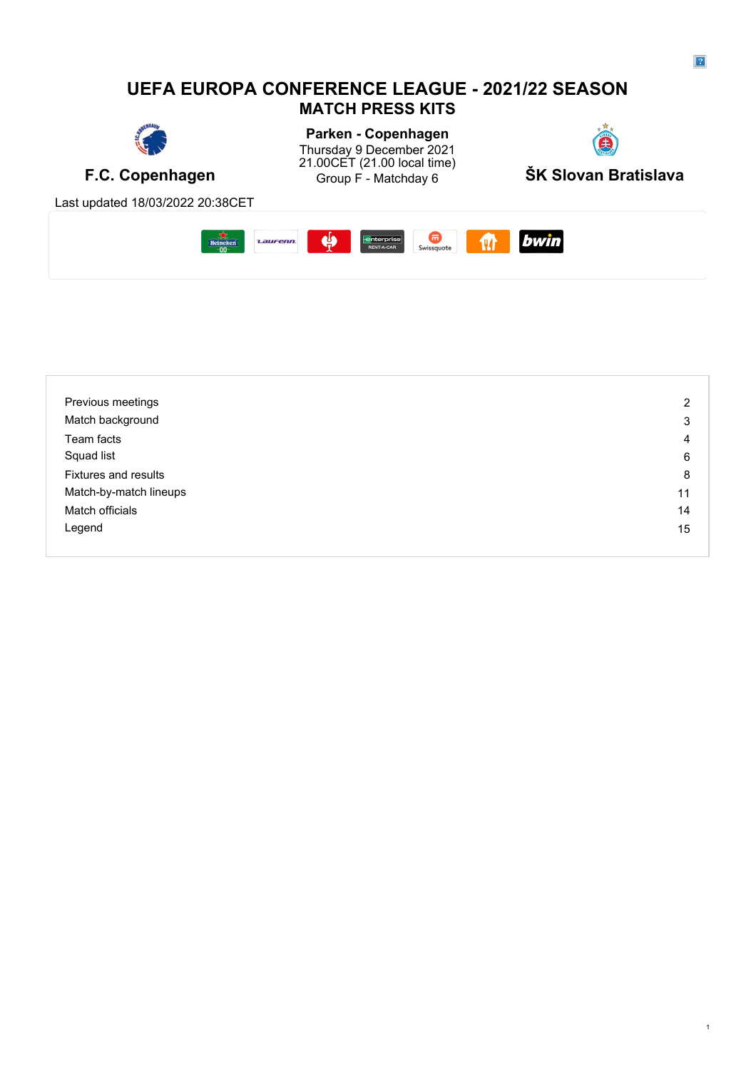# **UEFA EUROPA CONFERENCE LEAGUE - 2021/22 SEASON MATCH PRESS KITS**



Parken - Copenhagen<br>Fhundau 9 Recember 2004 Thursday 9 December 2021 21.00CET (21.00 local time)



Last updated 18/03/2022 20:38CET



| Previous meetings      | $\overline{2}$ |
|------------------------|----------------|
| Match background       | 3              |
| Team facts             | 4              |
| Squad list             | 6              |
| Fixtures and results   | 8              |
| Match-by-match lineups | 11             |
| Match officials        | 14             |
| Legend                 | 15             |
|                        |                |

1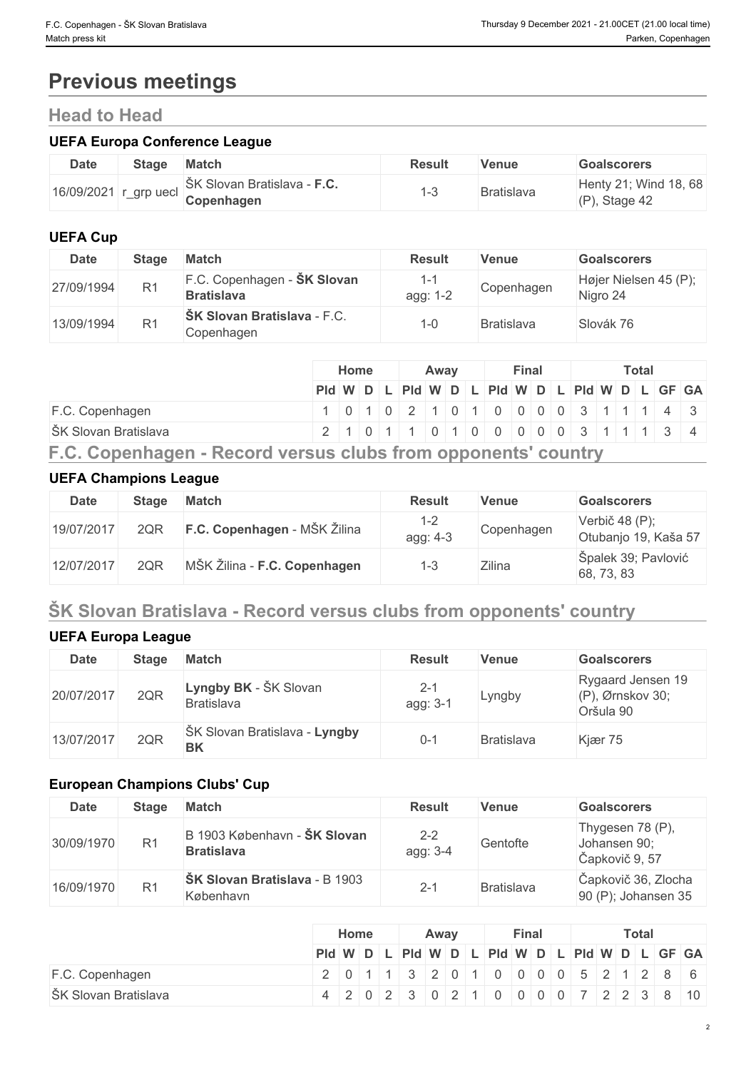# **Previous meetings**

# **Head to Head**

#### **UEFA Europa Conference League**

| <b>Date</b> | <b>Stage</b>         | <b>Match</b>                              | <b>Result</b> | Venue             | <b>Goalscorers</b>                       |
|-------------|----------------------|-------------------------------------------|---------------|-------------------|------------------------------------------|
| 16/09/2021  | grp uecl<br>$-\circ$ | ŠK Slovan Bratislava - F.C.<br>Copenhagen |               | <b>Bratislava</b> | Henty 21; Wind 18, 68<br>(P)<br>Stage 42 |

## **UEFA Cup**

| <b>Date</b> | <b>Stage</b>   | <b>Match</b>                                     | <b>Result</b> | <b>Venue</b>      | <b>Goalscorers</b>                |
|-------------|----------------|--------------------------------------------------|---------------|-------------------|-----------------------------------|
| 27/09/1994  | R <sub>1</sub> | F.C. Copenhagen - SK Slovan<br><b>Bratislava</b> | agg: 1-2      | Copenhagen        | Højer Nielsen 45 (P);<br>Nigro 24 |
| 13/09/1994  | R <sub>1</sub> | ŠK Slovan Bratislava - F.C.<br>Copenhagen        | -0            | <b>Bratislava</b> | Slovák 76                         |

|                                                               | <b>Home</b> |                                                                   | Away |  | Final |  |  | Total |  |  |  |
|---------------------------------------------------------------|-------------|-------------------------------------------------------------------|------|--|-------|--|--|-------|--|--|--|
|                                                               |             | Pid W D L Pid W D L Pid W D L Pid W D L GF GA                     |      |  |       |  |  |       |  |  |  |
| $F.C.$ Copenhagen                                             |             | 0   1   0   2   1   0   1   0   0   0   0   3   1   1   1   4   3 |      |  |       |  |  |       |  |  |  |
| ŠK Slovan Bratislava                                          |             | 2 1 0 1 1 0 1 0 0 0 0 0 3 1 1 1 3 4                               |      |  |       |  |  |       |  |  |  |
| F.C. Copenhagen - Record versus clubs from opponents' country |             |                                                                   |      |  |       |  |  |       |  |  |  |

### **UEFA Champions League**

| <b>Date</b> | <b>Stage</b> | <b>Match</b>                 | <b>Result</b>       | Venue      | <b>Goalscorers</b>                     |
|-------------|--------------|------------------------------|---------------------|------------|----------------------------------------|
| 19/07/2017  | 2QR          | F.C. Copenhagen - MŠK Žilina | $1 - 2$<br>agg: 4-3 | Copenhagen | Verbič 48 (P);<br>Otubanjo 19, Kaša 57 |
| 12/07/2017  | 2QF          | MŠK Žilina - F.C. Copenhagen | 1-3                 | Zilina     | Špalek 39; Pavlović<br>68, 73, 83      |

# **ŠK Slovan Bratislava - Record versus clubs from opponents' country**

## **UEFA Europa League**

| <b>Date</b> | <b>Stage</b> | <b>Match</b>                               | <b>Result</b>       | Venue             | <b>Goalscorers</b>                                    |
|-------------|--------------|--------------------------------------------|---------------------|-------------------|-------------------------------------------------------|
| 20/07/2017  | 2QR          | Lyngby BK - ŠK Slovan<br><b>Bratislava</b> | $2 - 1$<br>agg: 3-1 | ∟yngby            | Rygaard Jensen 19<br>$(P)$ , Ørnskov 30;<br>Oršula 90 |
| 13/07/2017  | 2QR          | ŠK Slovan Bratislava - Lyngby<br><b>BK</b> | $0 - 1$             | <b>Bratislava</b> | Kjær 75                                               |

## **European Champions Clubs' Cup**

| <b>Date</b> | <b>Stage</b>   | <b>Match</b>                                      | <b>Result</b>       | Venue      | <b>Goalscorers</b>                                 |
|-------------|----------------|---------------------------------------------------|---------------------|------------|----------------------------------------------------|
| 30/09/1970  | R <sub>1</sub> | B 1903 København - ŠK Slovan<br><b>Bratislava</b> | $2 - 2$<br>agg: 3-4 | Gentofte   | Thygesen 78 (P),<br>Johansen 90;<br>Čapkovič 9, 57 |
| 16/09/1970  | R <sub>1</sub> | <b>ŠK Slovan Bratislava - B 1903</b><br>København | $2 - 1$             | Bratislava | Čapkovič 36, Zlocha<br>$90$ (P); Johansen 35       |

|                      | Home                                                                                                   |  | Away |  | Final |  |  |  |  | <b>Total</b> |  |  |  |  |  |  |  |
|----------------------|--------------------------------------------------------------------------------------------------------|--|------|--|-------|--|--|--|--|--------------|--|--|--|--|--|--|--|
|                      | $PId \mid W \mid D \mid L \mid PId \mid W \mid D \mid L \mid PId \mid W \mid D \mid L \mid GF \mid GA$ |  |      |  |       |  |  |  |  |              |  |  |  |  |  |  |  |
| F.C. Copenhagen      | 2 0 1 1 3 2 0 1 0 0 0 0 5 2 1 2 8 6                                                                    |  |      |  |       |  |  |  |  |              |  |  |  |  |  |  |  |
| ŠK Slovan Bratislava | 4 2 0 2 3 0 2 1 0 0 0 0 7 2 2 3 8 10                                                                   |  |      |  |       |  |  |  |  |              |  |  |  |  |  |  |  |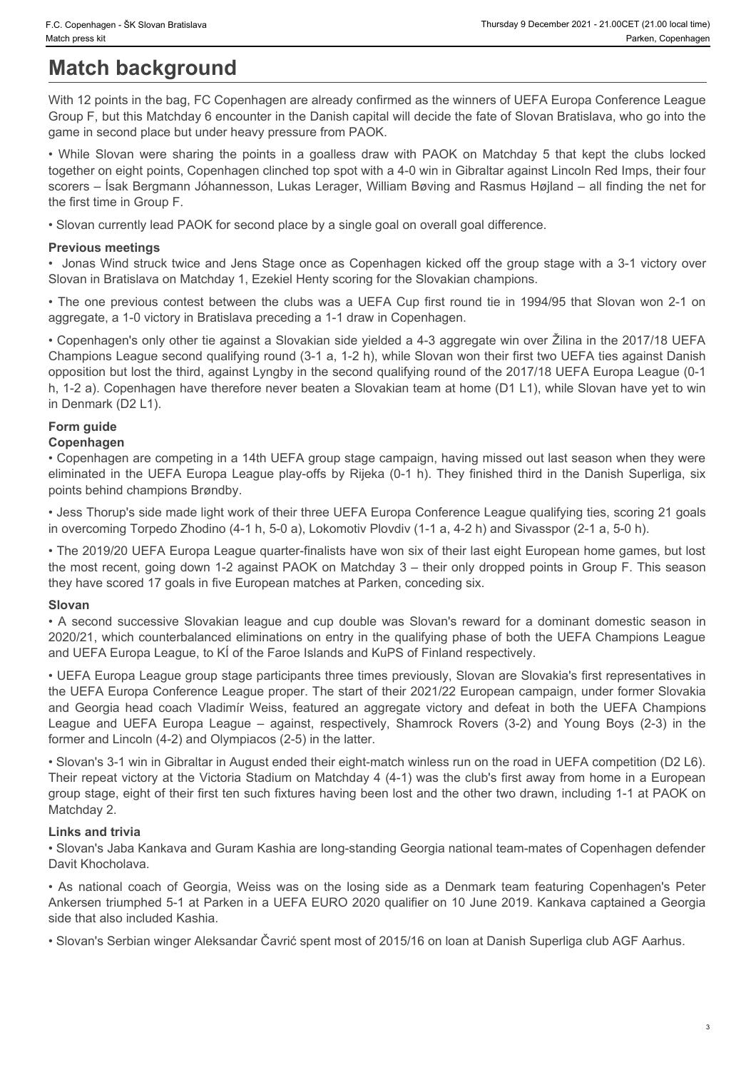# **Match background**

With 12 points in the bag, FC Copenhagen are already confirmed as the winners of UEFA Europa Conference League Group F, but this Matchday 6 encounter in the Danish capital will decide the fate of Slovan Bratislava, who go into the game in second place but under heavy pressure from PAOK.

• C. Copenhagen - SK Slovan Bratislava<br>• Match press kit **Match background**<br>• Match press kit **Match background**<br>• With 12 points in the bag, FC Copenhagen are already confirmed as the winners of UEFA Europa Conference Lea together on eight points, Copenhagen clinched top spot with a 4-0 win in Gibraltar against Lincoln Red Imps, their four scorers – Ísak Bergmann Jóhannesson, Lukas Lerager, William Bøving and Rasmus Højland – all finding the net for the first time in Group F.

• Slovan currently lead PAOK for second place by a single goal on overall goal difference.

#### **Previous meetings**

• Jonas Wind struck twice and Jens Stage once as Copenhagen kicked off the group stage with a 3-1 victory over Slovan in Bratislava on Matchday 1, Ezekiel Henty scoring for the Slovakian champions.

• The one previous contest between the clubs was a UEFA Cup first round tie in 1994/95 that Slovan won 2-1 on aggregate, a 1-0 victory in Bratislava preceding a 1-1 draw in Copenhagen.

• Copenhagen's only other tie against a Slovakian side yielded a 4-3 aggregate win over Žilina in the 2017/18 UEFA Champions League second qualifying round (3-1 a, 1-2 h), while Slovan won their first two UEFA ties against Danish opposition but lost the third, against Lyngby in the second qualifying round of the 2017/18 UEFA Europa League (0-1 h, 1-2 a). Copenhagen have therefore never beaten a Slovakian team at home (D1 L1), while Slovan have yet to win in Denmark (D2 L1). • Copenage 54 stem for the bag Copenage and culture and cup double the second successive Sloves in the Sloves Slovakian league and the second successive Slovakian league and the Sloves Slovakian league and the Slovakian le With It 2 points in the top, RC Copyenhages are showly confirmed as the winney of UEFA Europe Contentral coapter<br>Screen Fundamic Biometer Screen Fundamic Screen Contents (FIFA Champions) and the UEFA Champions (Series Head Orough F. In the Mohlemberta The matter the Department in the Vanish Constitute (UEFA) and Constitute (UEFA) and Constitute (UEFA) and Constitute Constitute of the UEFA Current in the UEFA Current Constitute of the UEFA Cu Shown in Evidebary • Methods on Micharaly 1.5 and the losing side as a Denmark team field on the losing side as a Denmark team for Georgia The Shown in 199465 test Shown in the 1997 and the Copenhagent on the 1997 and the

### **Form guide**

#### **Copenhagen**

• Copenhagen are competing in a 14th UEFA group stage campaign, having missed out last season when they were eliminated in the UEFA Europa League play-offs by Rijeka (0-1 h). They finished third in the Danish Superliga, six points behind champions Brøndby.

• Jess Thorup's side made light work of their three UEFA Europa Conference League qualifying ties, scoring 21 goals in overcoming Torpedo Zhodino (4-1 h, 5-0 a), Lokomotiv Plovdiv (1-1 a, 4-2 h) and Sivasspor (2-1 a, 5-0 h).

• The 2019/20 UEFA Europa League quarter-finalists have won six of their last eight European home games, but lost the most recent, going down 1-2 against PAOK on Matchday 3 – their only dropped points in Group F. This season they have scored 17 goals in five European matches at Parken, conceding six.

#### **Slovan**

2020/21, which counterbalanced eliminations on entry in the qualifying phase of both the UEFA Champions League and UEFA Europa League, to KÍ of the Faroe Islands and KuPS of Finland respectively.

• UEFA Europa League group stage participants three times previously, Slovan are Slovakia's first representatives in the UEFA Europa Conference League proper. The start of their 2021/22 European campaign, under former Slovakia former and Lincoln (4-2) and Olympiacos (2-5) in the latter.

• Slovan's 3-1 win in Gibraltar in August ended their eight-match winless run on the road in UEFA competition (D2 L6). Their repeat victory at the Victoria Stadium on Matchday 4 (4-1) was the club's first away from home in a European group stage, eight of their first ten such fixtures having been lost and the other two drawn, including 1-1 at PAOK on Matchday 2.

#### **Links and trivia**

• Slovan's Jaba Kankava and Guram Kashia are long-standing Georgia national team-mates of Copenhagen defender Davit Khocholava.

Ankersen triumphed 5-1 at Parken in a UEFA EURO 2020 qualifier on 10 June 2019. Kankava captained a Georgia side that also included Kashia.

• Slovan's Serbian winger Aleksandar Čavrić spent most of 2015/16 on loan at Danish Superliga club AGF Aarhus.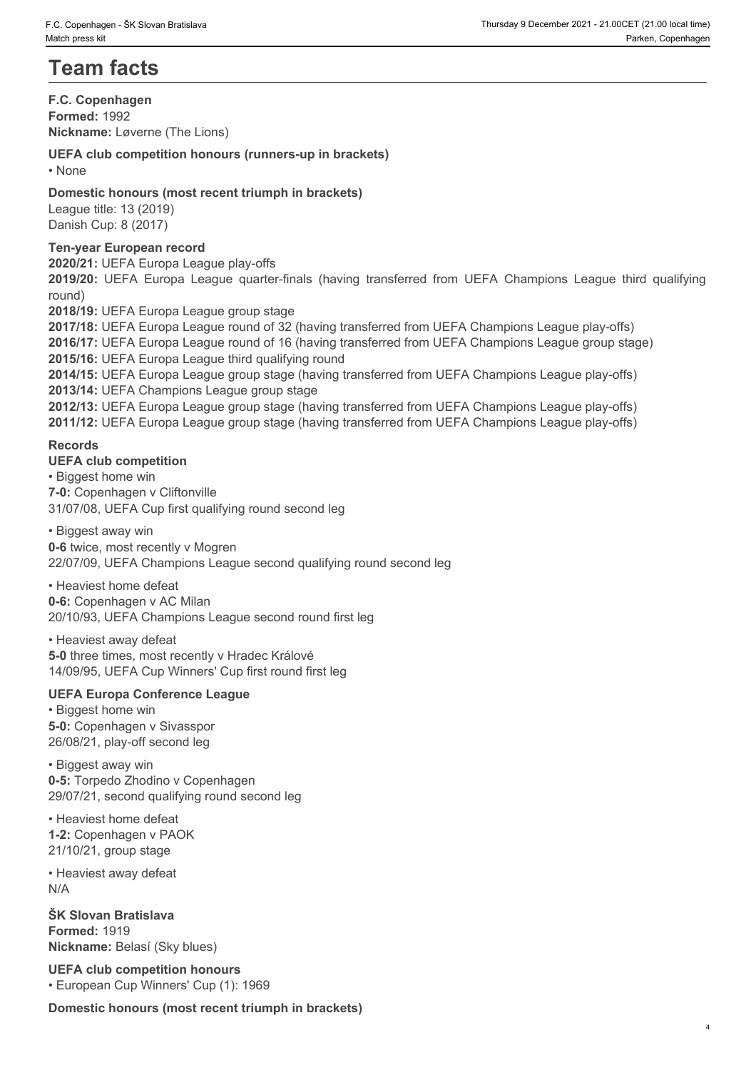# **Team facts**

**F.C. Copenhagen Formed:** 1992 **Nickname:** Løverne (The Lions)

### **UEFA club competition honours (runners-up in brackets)**

• None **blue** and **blue** and **blue** and **blue** and **blue** and **blue** and **blue** and **blue** and **blue** and **blue** and **blue** and **blue** and **blue** and **blue** and **blue** and **blue** and **blue** and **blue** and **blue** and **blue** 

### **Domestic honours (most recent triumph in brackets)**

League title: 13 (2019) Danish Cup: 8 (2017)

### **Ten-year European record**

**2020/21:** UEFA Europa League play-offs

round)

**2018/19:** UEFA Europa League group stage

**2019/2019: 2019/2019:** Thursday a December 2021-21:00:021:22:00:021:1910<br> **2019/2019:** Parken, Copenhagen<br> **2019/2019:** Parken, Copenhagen<br> **2019/2019:** UEFA Cub competition honours (runners-up in brackets)<br>
2019/20: UE **2017/18:** UEFA Europa League round of 32 (having transferred from UEFA Champions League play-offs) **2016/17:** UEFA Europa League round of 16 (having transferred from UEFA Champions League group stage) **2015/16:** UEFA Europa League third qualifying round **2014/15:** UEFA Europa League group stage (having transferred from UEFA Champions League play-offs) **2013/14:** UEFA Champions League group stage **2012/13:** UEFA Europa League group stage (having transferred from UEFA Champions League play-offs) **2011/12:** UEFA Europa League group stage (having transferred from UEFA Champions League play-offs)

### **Records**

#### **UEFA club competition**

• Biggest home win **7-0:** Copenhagen v Cliftonville 31/07/08, UEFA Cup first qualifying round second leg

• Biggest away win **0-6** twice, most recently v Mogren 22/07/09, UEFA Champions League second qualifying round second leg

• Heaviest home defeat

**0-6:** Copenhagen v AC Milan

20/10/93, UEFA Champions League second round first leg

• Heaviest away defeat **5-0** three times, most recently v Hradec Králové 14/09/95, UEFA Cup Winners' Cup first round first leg

## **UEFA Europa Conference League**

• Biggest home win **5-0:** Copenhagen v Sivasspor 26/08/21, play-off second leg

• Biggest away win **0-5:** Torpedo Zhodino v Copenhagen 29/07/21, second qualifying round second leg

• Heaviest home defeat **1-2:** Copenhagen v PAOK 21/10/21, group stage

• Heaviest away defeat N/A

**ŠK Slovan Bratislava Formed:** 1919 **Nickname:** Belasí (Sky blues)

**UEFA club competition honours** • European Cup Winners' Cup (1): 1969

**Domestic honours (most recent triumph in brackets)**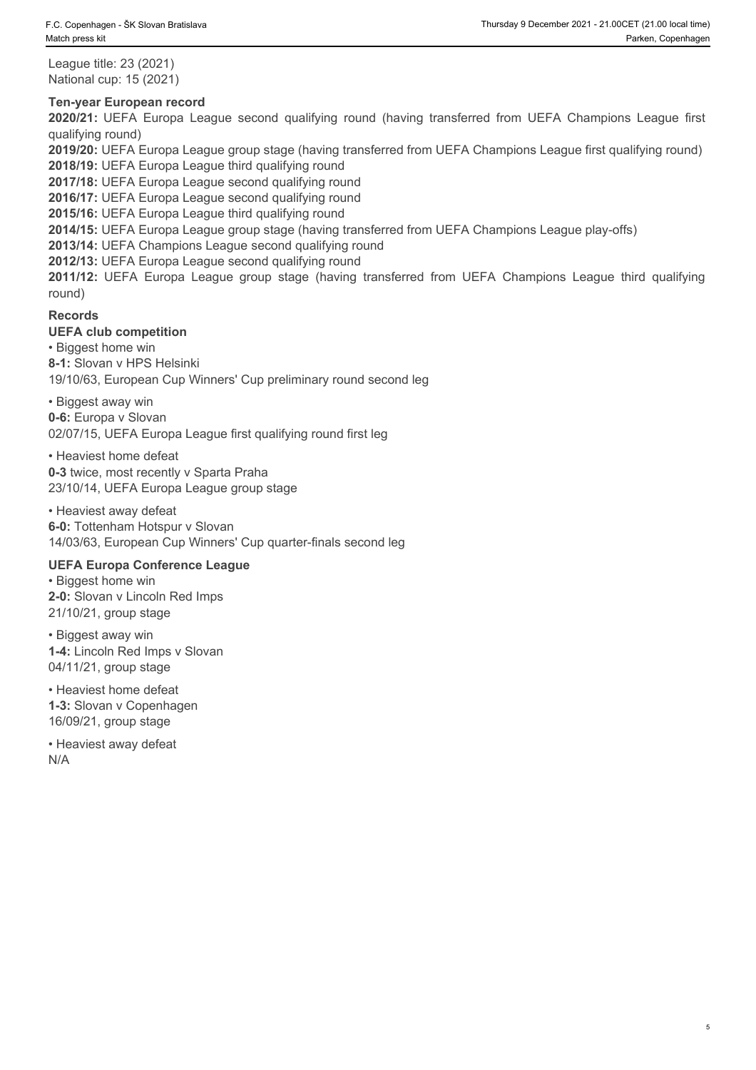League title: 23 (2021) National cup: 15 (2021)

#### **Ten-year European record**

2020/21: 21.000Ert (21.00 local time)<br>
2020/21: 2020 Parken, Copenhagen<br>
2020/21: UEFA Europa League second qualifying round (having transferred from UEFA Champions League first<br>
2020/21: UEFA Europa League second qualifyi qualifying round) **2012/12: Coveringen - SK Sevan Bratislava**<br> **2012-12: Propagate title: 23 (2021)**<br> **2012-02: UEFA Europa League second qualifying round** (having transferred from UEFA Champions League first<br> **2012/12: UEFA Europa League g** 

**2019/20:** UEFA Europa League group stage (having transferred from UEFA Champions League first qualifying round) **2018/19:** UEFA Europa League third qualifying round

**2017/18:** UEFA Europa League second qualifying round

**2016/17:** UEFA Europa League second qualifying round

**2015/16:** UEFA Europa League third qualifying round

**2014/15:** UEFA Europa League group stage (having transferred from UEFA Champions League play-offs)

**2013/14:** UEFA Champions League second qualifying round

**2012/13:** UEFA Europa League second qualifying round

round)

#### **Records**

#### **UEFA club competition**

• Biggest home win

**8-1:** Slovan v HPS Helsinki

19/10/63, European Cup Winners' Cup preliminary round second leg

• Biggest away win

**0-6:** Europa v Slovan

02/07/15, UEFA Europa League first qualifying round first leg

• Heaviest home defeat **0-3** twice, most recently v Sparta Praha 23/10/14, UEFA Europa League group stage

• Heaviest away defeat **6-0:** Tottenham Hotspur v Slovan 14/03/63, European Cup Winners' Cup quarter-finals second leg

#### **UEFA Europa Conference League**

• Biggest home win **2-0:** Slovan v Lincoln Red Imps 21/10/21, group stage

• Biggest away win **1-4:** Lincoln Red Imps v Slovan 04/11/21, group stage

• Heaviest home defeat **1-3:** Slovan v Copenhagen 16/09/21, group stage

• Heaviest away defeat N/A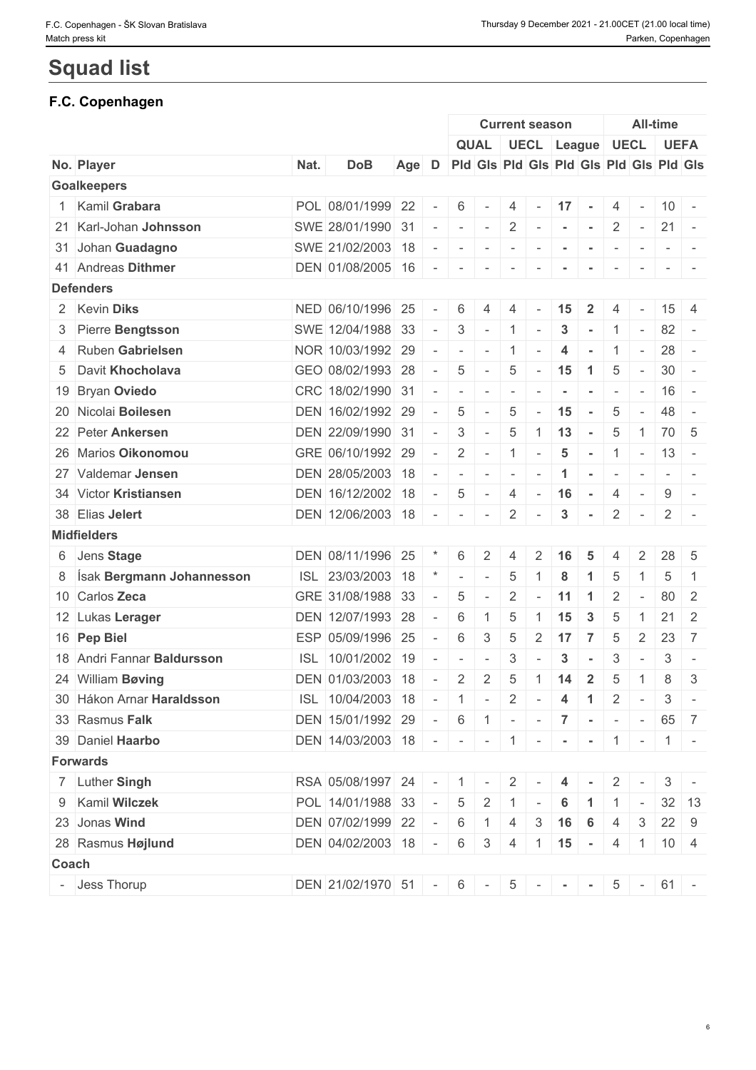# **Squad list**

# **F.C. Copenhagen**

|                                   |      |                                                                   |       |           |                          |                          |                          | <b>Current season</b>    |                         |                            |                          |                           | <b>All-time</b> |                                         |
|-----------------------------------|------|-------------------------------------------------------------------|-------|-----------|--------------------------|--------------------------|--------------------------|--------------------------|-------------------------|----------------------------|--------------------------|---------------------------|-----------------|-----------------------------------------|
|                                   |      |                                                                   |       |           |                          |                          |                          |                          |                         | QUAL UECL League UECL UEFA |                          |                           |                 |                                         |
| No. Player                        | Nat. | <b>DoB</b>                                                        | Age D |           |                          |                          |                          |                          |                         |                            |                          |                           |                 | Pid Gis Pid Gis Pid Gis Pid Gis Pid Gis |
| <b>Goalkeepers</b>                |      |                                                                   |       |           |                          |                          |                          |                          |                         |                            |                          |                           |                 |                                         |
| 1 Kamil Grabara                   |      | POL 08/01/1999 22                                                 |       |           | 6                        |                          | 4                        | $\sim$                   | $17 -$                  |                            | 4                        | $\sim$                    |                 | $10 -$                                  |
| 21 Karl-Johan Johnsson            |      | SWE 28/01/1990 31                                                 |       |           | $\sim$                   | $\sim$                   | $2^{\circ}$              | $\sim$ $-$               | $\sim$                  | $\sim$                     | $\overline{2}$           | $\sim$                    |                 | $21 -$                                  |
| 31 Johan Guadagno                 |      | SWE 21/02/2003 18                                                 |       |           | $\sim$                   | $\sim$                   | $\sim$                   |                          | $\sim$                  | $\sim$                     |                          |                           |                 |                                         |
| 41 Andreas Dithmer                |      | DEN 01/08/2005 16                                                 |       | $\sim$    | $\sim$                   | $\sim$                   | $\sim$                   | $\sim$                   | $\sim$                  | $\sim$                     | $\sim$                   | $\sim$                    |                 |                                         |
| <b>Defenders</b>                  |      |                                                                   |       |           |                          |                          |                          |                          |                         |                            |                          |                           |                 |                                         |
| 2 Kevin Diks                      |      | NED 06/10/1996 25                                                 |       |           | 6                        |                          |                          |                          | 15                      |                            |                          |                           | 15              | 4                                       |
| 3 Pierre Bengtsson                |      | SWE 12/04/1988 33                                                 |       | $\sim$    | 3                        | $\sim$                   | $\mathbf{1}$             | $\sim$                   | 3                       |                            |                          | $\sim$                    |                 | $82 -$                                  |
| 4 Ruben Gabrielsen                |      | NOR 10/03/1992 29                                                 |       |           | $\overline{\phantom{a}}$ | $\sim$                   | $\overline{1}$           | $\overline{\phantom{a}}$ | $\overline{4}$          | $\sim$                     | $\mathbf{1}$             | $\sim$                    |                 | $28 -$                                  |
| 5 Davit Khocholava                |      | GEO 08/02/1993 28                                                 |       | $\sim$    | 5                        | $\sim$                   | 5                        | $\sim$                   | 15                      | $\blacktriangleleft$       | 5                        | $\sim$                    |                 | $30 -$                                  |
| 19 Bryan Oviedo                   |      | CRC 18/02/1990 31                                                 |       |           | $\overline{\phantom{a}}$ | $\overline{\phantom{a}}$ | $\overline{\phantom{a}}$ |                          |                         |                            | $\overline{\phantom{a}}$ | $\sim$                    |                 | $16 -$                                  |
| 20 Nicolai Boilesen               |      | DEN 16/02/1992 29                                                 |       |           | 5                        | $\sim$                   | 5                        | $\sim$                   | 15                      | $\sim$                     | 5                        | $\sim$                    |                 | $48 -$                                  |
| 22 Peter Ankersen                 |      | DEN 22/09/1990 31                                                 |       |           | 3                        | $\sim$                   | $5\phantom{.0}$          | $\mathbf{1}$             | 13                      | $\sim$                     | 5                        | $\overline{1}$            |                 | 70 5                                    |
| 26 Marios Oikonomou               |      | GRE 06/10/1992 29                                                 |       | $\sim$    | 2                        | $\sim$                   | $\overline{1}$           | $\overline{\phantom{a}}$ | $\overline{\mathbf{5}}$ | $\sim$                     | $\overline{1}$           | $\sim$                    |                 | $13 -$                                  |
| 27 Valdemar Jensen                |      | DEN 28/05/2003 18                                                 |       |           | $\sim$                   | $\sim$                   | $\sim$                   |                          | $\blacktriangleleft$    | $\sim$                     | $\sim$                   | $\sim$                    |                 | $ -$                                    |
| 34 Victor Kristiansen             |      | DEN 16/12/2002 18                                                 |       |           | 5                        |                          | $\overline{4}$           | $\sim$                   | 16                      | $\sim$                     | $\overline{4}$           | $\sim$                    | 9               | $\sim$                                  |
| 38 Elias Jelert                   |      | DEN 12/06/2003 18                                                 |       |           | $\overline{\phantom{a}}$ | $\sim$                   | $\overline{2}$           |                          | 3                       | $\sim$                     | $\overline{2}$           | $\sim$                    | $\mathbf{2}$    | $\sim$                                  |
| <b>Midfielders</b>                |      |                                                                   |       |           |                          |                          |                          |                          |                         |                            |                          |                           |                 |                                         |
| 6 Jens Stage                      |      | DEN 08/11/1996 25                                                 |       |           | 6                        | 2                        | $\overline{4}$           |                          |                         |                            |                          | 2                         | 28              | - 5                                     |
| 8 <b>Sak Bergmann Johannesson</b> |      | ISL 23/03/2003 18                                                 |       |           | $\bar{a}$                | $\overline{\phantom{a}}$ | $\overline{5}$           |                          | 8                       |                            | 5                        |                           | 5               | -1                                      |
| 10 Carlos Zeca                    |      | GRE 31/08/1988 33                                                 |       |           | 5                        |                          | $\overline{2}$           |                          | 11                      | $\overline{1}$             | 2                        | $\sim$                    | 80              | $\overline{2}$                          |
| 12 Lukas Lerager                  |      | DEN 12/07/1993 28                                                 |       |           | $6\phantom{1}6$          |                          | 5                        |                          | 15                      | 3                          | 5                        |                           | 21              | $\overline{2}$                          |
| 16 Pep Biel                       |      | ESP 05/09/1996 25                                                 |       |           | 6                        | 3                        | 5                        | $\overline{2}$           | 17                      | $\overline{7}$             | $\overline{5}$           | 2                         | 23              | $\overline{7}$                          |
| 18 Andri Fannar Baldursson        |      | ISL 10/01/2002 19                                                 |       |           | $\overline{\phantom{a}}$ |                          | 3                        |                          | 3                       | $\sim$                     | 3                        | $\overline{\phantom{a}}$  | 3               | $\overline{\phantom{a}}$                |
| 24 William Bøving                 |      | DEN 01/03/2003 18                                                 |       |           | 2                        | $\overline{2}$           | $\overline{5}$           | 1                        | 14                      | $\overline{2}$             | 5                        | -1                        | 8               | 3                                       |
| 30 Hákon Arnar Haraldsson         |      | ISL 10/04/2003 18                                                 |       |           | $\overline{1}$           | $\sim$                   |                          | $2$ -                    | $\overline{4}$          | $\vert 1 \vert$            | $\overline{2}$           | $\mathbf{I}$              |                 | $3 -$                                   |
| 33 Rasmus Falk                    |      | DEN 15/01/1992 29                                                 |       | $\sim 10$ | 6                        |                          |                          |                          |                         | $1 - 7 - 7 - - -$          |                          |                           |                 | 65 7                                    |
| 39 Daniel Haarbo                  |      | DEN   14/03/2003   18   -   -   -   1   -   -   -   1   -   1   - |       |           |                          |                          |                          |                          |                         |                            |                          |                           |                 |                                         |
| <b>Forwards</b>                   |      |                                                                   |       |           |                          |                          |                          |                          |                         |                            |                          |                           |                 |                                         |
| 7 Luther Singh                    |      | RSA 05/08/1997 24                                                 |       |           | $\blacksquare$ 1         | $\overline{\phantom{a}}$ | $\overline{2}$           |                          | 4                       |                            | $\mathbf{2}$             |                           | 3               |                                         |
| 9 Kamil Wilczek                   |      | POL 14/01/1988 33                                                 |       |           | 5                        | $\overline{2}$           | $-1$                     |                          | 6                       |                            |                          | $\sim$                    |                 | $32 \mid 13$                            |
| 23 Jonas Wind                     |      | DEN 07/02/1999 22                                                 |       |           | 6                        |                          | 4                        | 3                        | 16                      | 6                          |                          | 3                         |                 | $22 \mid 9$                             |
| 28 Rasmus Højlund                 |      | DEN 04/02/2003 18                                                 |       | $\sim$    | 6                        | $\mathcal{S}$            | 4                        |                          |                         | $ 1 $ 15 -                 |                          | $4 \mid 1 \mid 10 \mid 4$ |                 |                                         |
| <b>Coach</b>                      |      |                                                                   |       |           |                          |                          |                          |                          |                         |                            |                          |                           |                 |                                         |
| - Jess Thorup                     |      | DEN 21/02/1970 51 - 6 - 5 - - - 5 - 6 - 61 -                      |       |           |                          |                          |                          |                          |                         |                            |                          |                           |                 |                                         |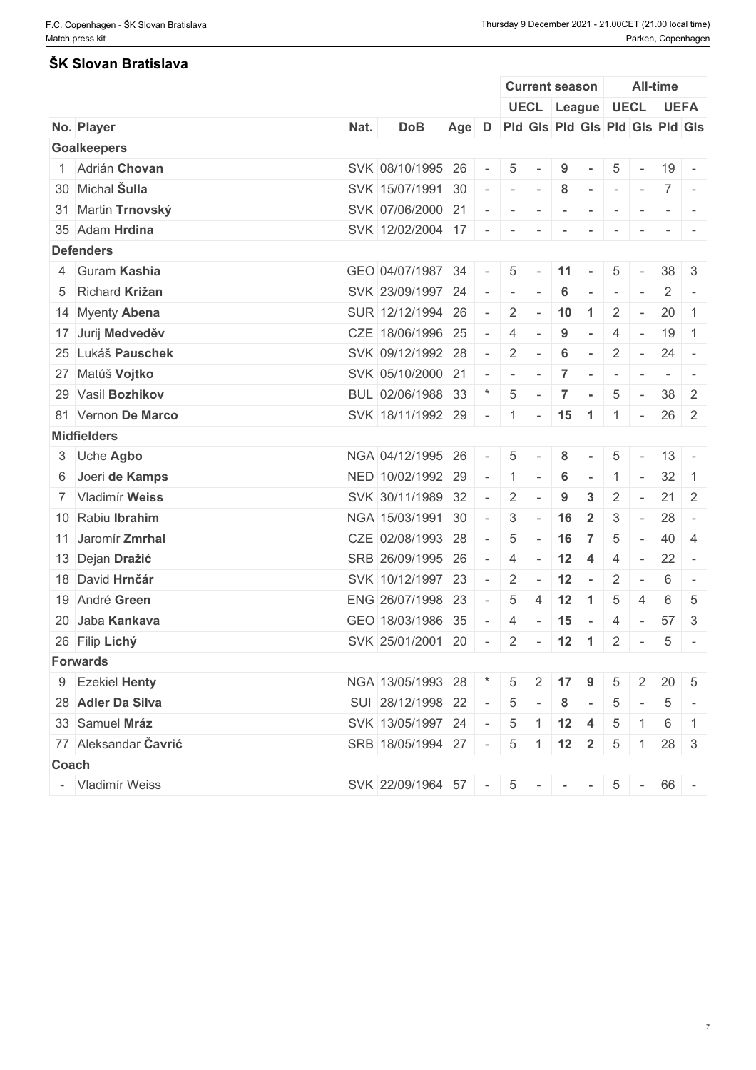### **ŠK Slovan Bratislava**

|                          |      |                                      |                                       |            |                 | <b>Current season</b> |                      |                                                        |                 |                 | <b>All-time</b>   |        |
|--------------------------|------|--------------------------------------|---------------------------------------|------------|-----------------|-----------------------|----------------------|--------------------------------------------------------|-----------------|-----------------|-------------------|--------|
|                          |      |                                      |                                       |            |                 |                       |                      | UECL League UECL UEFA                                  |                 |                 |                   |        |
| No. Player               | Nat. | <b>DoB</b>                           | Age D Pid Gis Pid Gis Pid Gis Pid Gis |            |                 |                       |                      |                                                        |                 |                 |                   |        |
| <b>Goalkeepers</b>       |      |                                      |                                       |            |                 |                       |                      |                                                        |                 |                 |                   |        |
| 1 Adrián Chovan          |      | SVK 08/10/1995 26                    |                                       | $\sim$     | 5               |                       | 9                    |                                                        | 5               | $\sim$          | 19 -              |        |
| 30 Michal Sulla          |      | SVK 15/07/1991 30                    |                                       |            |                 | $    -$               | 8                    |                                                        |                 |                 | $\vert 7 \vert$ - |        |
| 31 Martin Trnovský       |      | SVK 07/06/2000 21                    |                                       | $\sim$     | $\sim$          | $\sim$                | $\sim$               | $\sim$                                                 | $\sim$          |                 |                   |        |
| 35 Adam Hrdina           |      | SVK 12/02/2004 17 - - - - - - -      |                                       |            |                 |                       |                      |                                                        |                 | $\sim$          |                   |        |
| <b>Defenders</b>         |      |                                      |                                       |            |                 |                       |                      |                                                        |                 |                 |                   |        |
| 4 Guram Kashia           |      | GEO 04/07/1987 34                    |                                       | $\sim$     |                 | $5 -$                 | $\vert$ 11 $\vert$ - |                                                        | 5               |                 | $38 \mid 3$       |        |
| 5 Richard Križan         |      | SVK 23/09/1997 24 -                  |                                       |            | $\sim$          | $\sim$                | 6                    | ren de                                                 | $\sim$          | $\sim$          |                   | $2$ -  |
| 14 Myenty Abena          |      | SUR 12/12/1994 26                    |                                       | $\sim$     | $2 \mid$        |                       |                      | $-10$ 1                                                | $\overline{2}$  | $\sim$          | $20 \mid 1$       |        |
| 17 Jurij Medveděv        |      | CZE 18/06/1996 25                    |                                       | $\sim$     | $\overline{4}$  | $\sim$                | 9                    | $\sim$                                                 | 4               | $\sim$          | $19 \mid 1$       |        |
| 25 Lukáš Pauschek        |      | SVK 09/12/1992 28                    |                                       | $\sim$ $-$ | $2 \mid$        | $\sim$                | $6\phantom{1}$       | $\sim$                                                 | $\mathbf{2}$    | $\sim$ $-$      | $24 -$            |        |
| 27 Matúš Vojtko          |      | SVK 05/10/2000 21                    |                                       | $\sim$     | $\sim$          | $\sim$                | $\overline{7}$       | $\mathcal{L} = \{ \mathcal{L} \mid \mathcal{L} = 0 \}$ |                 | $\sim$          |                   | $-1$   |
| 29 Vasil Bozhikov        |      | BUL 02/06/1988 33                    |                                       |            | $5\overline{)}$ | $\mathbf{r}$          | $\vert 7 \vert$      | $\sim$                                                 | $5\overline{)}$ | $\sim$          | $38 \mid 2$       |        |
| 81 Vernon De Marco       |      | SVK 18/11/1992 29 - 1 - 15 1 1 -     |                                       |            |                 |                       |                      |                                                        |                 |                 | $26 \mid 2$       |        |
| <b>Midfielders</b>       |      |                                      |                                       |            |                 |                       |                      |                                                        |                 |                 |                   |        |
| 3 Uche Agbo              |      | NGA 04/12/1995 26                    |                                       | $\sim$     | 5 <sup>1</sup>  |                       | 8                    |                                                        | 5               | $\sim$          | $13 -$            |        |
| 6 Joeri de Kamps         |      | NED 10/02/1992 29                    |                                       | $\sim$ $-$ | 1               | $\sim$                | 6                    |                                                        |                 |                 | $32 \mid 1$       |        |
| 7 Vladimír Weiss         |      | SVK 30/11/1989 32                    |                                       | $\sim$     | $\overline{2}$  |                       | $\boldsymbol{9}$     | $\mathbf{3}$                                           | $\overline{2}$  |                 | $21 \quad 2$      |        |
| 10 Rabiu Ibrahim         |      | NGA 15/03/1991 30                    |                                       | $\sim$     | $3\phantom{.0}$ | $\sim$                | 16                   | $\overline{\mathbf{2}}$                                | 3               | $\sim$          | $28 -$            |        |
| 11 Jaromír <b>Zmrhal</b> |      | CZE 02/08/1993 28                    |                                       | $\sim$     | 5               | $\sim$                | 16                   | $\overline{7}$                                         | 5               | $\sim$          | 40 4              |        |
| 13 Dejan Dražić          |      | SRB 26/09/1995 26                    |                                       | $\sim$     | $\overline{4}$  | $\sim$                | 12                   | $\overline{4}$                                         | $\overline{4}$  | $\sim$          | $22 -$            |        |
| 18 David Hrnčár          |      | SVK 10/12/1997 23                    |                                       | $\sim$     |                 |                       |                      | $2 - 12 -$                                             | $\overline{2}$  | $\sim$          | 6                 | $\sim$ |
| 19 André Green           |      | ENG 26/07/1998 23                    |                                       | $\sim$     | 5               | 4                     | 12                   | $\overline{1}$                                         | 5               | 4               | 6                 | -5     |
| 20 Jaba Kankava          |      | GEO 18/03/1986 35 -                  |                                       |            | $\overline{4}$  |                       | $-15 -$              |                                                        | $\overline{4}$  | $\sim$          | 57                | 3      |
| 26 Filip Lichý           |      | SVK 25/01/2001 20 - 2 - 12 1 2 - 5 - |                                       |            |                 |                       |                      |                                                        |                 |                 |                   |        |
| <b>Forwards</b>          |      |                                      |                                       |            |                 |                       |                      |                                                        |                 |                 |                   |        |
| 9 Ezekiel Henty          |      | NGA 13/05/1993 28 * 5 2 17 9         |                                       |            |                 |                       |                      |                                                        | 5               | $\vert 2 \vert$ | $20 \mid 5$       |        |
| 28 Adler Da Silva        |      | SUI 28/12/1998 22 - 5 - 8 -          |                                       |            |                 |                       |                      |                                                        |                 | $5$ -           |                   | $5$ -  |
| 33 Samuel Mráz           |      | SVK 13/05/1997 24 - 5 1 12 4 5       |                                       |            |                 |                       |                      |                                                        |                 |                 | $161$             |        |
| 77 Aleksandar Čavrić     |      | SRB 18/05/1994 27 - 5 1 12 2 5 1     |                                       |            |                 |                       |                      |                                                        |                 |                 | $28 \mid 3$       |        |
| Coach                    |      |                                      |                                       |            |                 |                       |                      |                                                        |                 |                 |                   |        |
| - Vladimír Weiss         |      | SVK 22/09/1964 57 - 5 - - - 5 - 66 - |                                       |            |                 |                       |                      |                                                        |                 |                 |                   |        |
|                          |      |                                      |                                       |            |                 |                       |                      |                                                        |                 |                 |                   |        |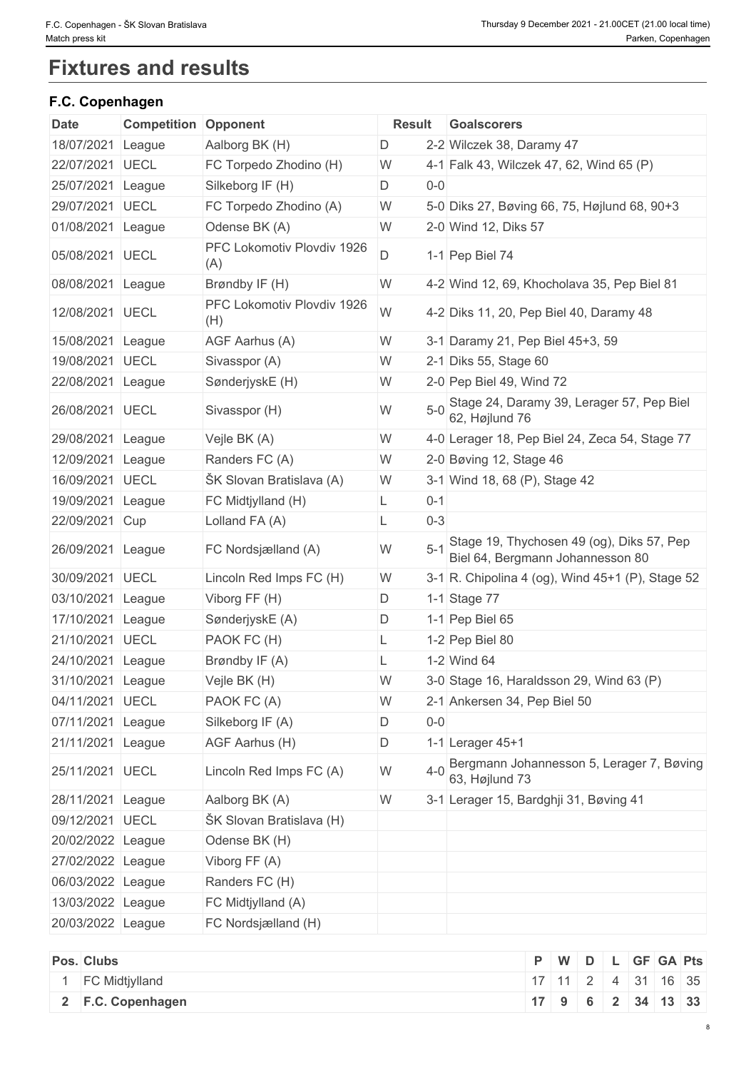# **Fixtures and results**

# **F.C. Copenhagen**

| <b>Date</b>       | <b>Competition</b> | Opponent                          | <b>Result</b> | Goalscorers                                                                   |
|-------------------|--------------------|-----------------------------------|---------------|-------------------------------------------------------------------------------|
| 18/07/2021        | League             | Aalborg BK (H)                    | D             | 2-2 Wilczek 38, Daramy 47                                                     |
| 22/07/2021        | <b>UECL</b>        | FC Torpedo Zhodino (H)            | W             | 4-1 Falk 43, Wilczek 47, 62, Wind 65 (P)                                      |
| 25/07/2021        | League             | Silkeborg IF (H)                  | D<br>$0-0$    |                                                                               |
| 29/07/2021        | <b>UECL</b>        | FC Torpedo Zhodino (A)            | W             | 5-0 Diks 27, Bøving 66, 75, Højlund 68, 90+3                                  |
| 01/08/2021        | League             | Odense BK (A)                     | W             | 2-0 Wind 12, Diks 57                                                          |
| 05/08/2021 UECL   |                    | PFC Lokomotiv Plovdiv 1926<br>(A) | D             | 1-1 Pep Biel 74                                                               |
| 08/08/2021 League |                    | Brøndby IF (H)                    | W             | 4-2 Wind 12, 69, Khocholava 35, Pep Biel 81                                   |
| 12/08/2021 UECL   |                    | PFC Lokomotiv Plovdiv 1926<br>(H) | W             | 4-2 Diks 11, 20, Pep Biel 40, Daramy 48                                       |
| 15/08/2021        | League             | AGF Aarhus (A)                    | W             | 3-1 Daramy 21, Pep Biel 45+3, 59                                              |
| 19/08/2021 UECL   |                    | Sivasspor (A)                     | W             | 2-1 Diks 55, Stage 60                                                         |
| 22/08/2021        | League             | SønderjyskE (H)                   | W             | 2-0 Pep Biel 49, Wind 72                                                      |
| 26/08/2021        | <b>UECL</b>        | Sivasspor (H)                     | $5-0$<br>W    | Stage 24, Daramy 39, Lerager 57, Pep Biel<br>62, Højlund 76                   |
| 29/08/2021        | League             | Vejle BK (A)                      | W             | 4-0 Lerager 18, Pep Biel 24, Zeca 54, Stage 77                                |
| 12/09/2021        | League             | Randers FC (A)                    | W             | 2-0 Bøving 12, Stage 46                                                       |
| 16/09/2021        | <b>UECL</b>        | ŠK Slovan Bratislava (A)          | W             | 3-1 Wind 18, 68 (P), Stage 42                                                 |
| 19/09/2021        | League             | FC Midtjylland (H)                | $0 - 1$<br>L. |                                                                               |
| 22/09/2021 Cup    |                    | Lolland FA (A)                    | $0 - 3$<br>L  |                                                                               |
| 26/09/2021 League |                    | FC Nordsjælland (A)               | $5 - 1$<br>W  | Stage 19, Thychosen 49 (og), Diks 57, Pep<br>Biel 64, Bergmann Johannesson 80 |
| 30/09/2021        | <b>UECL</b>        | Lincoln Red Imps FC (H)           | W             | 3-1 R. Chipolina 4 (og), Wind 45+1 (P), Stage 52                              |
| 03/10/2021        | League             | Viborg FF (H)                     | D.            | 1-1 Stage 77                                                                  |
| 17/10/2021        | League             | SønderjyskE (A)                   | D             | 1-1 Pep Biel 65                                                               |
| 21/10/2021        | <b>UECL</b>        | PAOK FC (H)                       | L             | 1-2 Pep Biel 80                                                               |
| 24/10/2021 League |                    | Brøndby IF (A)                    |               | 1-2 Wind 64                                                                   |
| 31/10/2021 League |                    | Vejle BK (H)                      | W             | 3-0 Stage 16, Haraldsson 29, Wind 63 (P)                                      |
| 04/11/2021 UECL   |                    | PAOK FC (A)                       | W             | 2-1 Ankersen 34, Pep Biel 50                                                  |
| 07/11/2021 League |                    | Silkeborg IF (A)                  | D<br>$0-0$    |                                                                               |
| 21/11/2021 League |                    | AGF Aarhus (H)                    | D             | 1-1 Lerager 45+1                                                              |
| 25/11/2021 UECL   |                    | Lincoln Red Imps FC (A)           | $4 - 0$<br>W  | Bergmann Johannesson 5, Lerager 7, Bøving<br>63, Højlund 73                   |
| 28/11/2021 League |                    | Aalborg BK (A)                    | W             | 3-1 Lerager 15, Bardghji 31, Bøving 41                                        |
| 09/12/2021 UECL   |                    | ŠK Slovan Bratislava (H)          |               |                                                                               |
| 20/02/2022 League |                    | Odense BK (H)                     |               |                                                                               |
| 27/02/2022 League |                    | Viborg FF (A)                     |               |                                                                               |
| 06/03/2022 League |                    | Randers FC (H)                    |               |                                                                               |
| 13/03/2022 League |                    | FC Midtjylland (A)                |               |                                                                               |
| 20/03/2022 League |                    | FC Nordsjælland (H)               |               |                                                                               |

| Pos. Clubs |                       |                      | P   W   D   L   GF   GA   Pts |  |  |  |
|------------|-----------------------|----------------------|-------------------------------|--|--|--|
|            | <b>FC Midtjylland</b> | $17$ 11 2 4 31 16 35 |                               |  |  |  |
|            | 2 F.C. Copenhagen     | 17 9 6 2 34 13 33    |                               |  |  |  |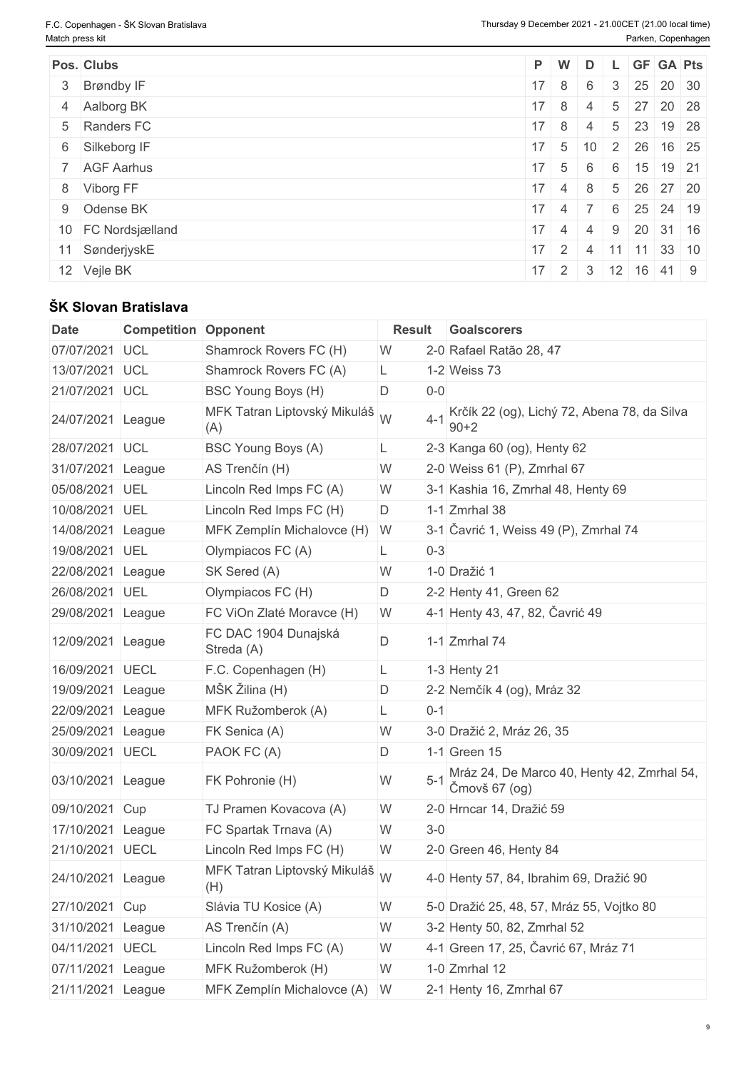| Pos. Clubs         |                      |                |  | P W D L GF GA Pts                |  |
|--------------------|----------------------|----------------|--|----------------------------------|--|
| 3 Brøndby IF       | $17 \quad 8$         | 6              |  | $3 \mid 25 \mid 20 \mid 30$      |  |
| 4 Aalborg BK       | $17 \quad 8$         | $\overline{4}$ |  | 5 27 20 28                       |  |
| 5 Randers FC       | $17 \quad 8 \quad 4$ |                |  | 5 23 19 28                       |  |
| 6 Silkeborg IF     |                      |                |  | $17$ 5 10 2 26 16 25             |  |
| 7 AGF Aarhus       | $17 \quad 5$         | 6              |  | $6$ 15 19 21                     |  |
| 8 Viborg FF        |                      |                |  | $17$ 4 8 5 26 27 20              |  |
| 9 Odense BK        |                      |                |  | $17$ 4 7 6 25 24 19              |  |
| 10 FC Nordsjælland | $17 \quad 4 \quad 4$ |                |  | 9 20 31 16                       |  |
| 11 SønderjyskE     |                      |                |  | $17$   2   4   11   11   33   10 |  |
| 12 Vejle BK        |                      |                |  | $17$ 2 3 12 16 41 9              |  |

# **ŠK Slovan Bratislava**

| <b>Date</b>       | <b>Competition Opponent</b> |                                     | <b>Result</b> | <b>Goalscorers</b>                                          |
|-------------------|-----------------------------|-------------------------------------|---------------|-------------------------------------------------------------|
| 07/07/2021        | <b>UCL</b>                  | Shamrock Rovers FC (H)              | W             | 2-0 Rafael Ratão 28, 47                                     |
| 13/07/2021        | <b>UCL</b>                  | Shamrock Rovers FC (A)              | L             | 1-2 Weiss 73                                                |
| 21/07/2021        | UCL                         | BSC Young Boys (H)                  | $0-0$<br>D    |                                                             |
| 24/07/2021        | League                      | MFK Tatran Liptovský Mikuláš<br>(A) | W<br>$4 - 1$  | Krčík 22 (og), Lichý 72, Abena 78, da Silva<br>$90 + 2$     |
| 28/07/2021        | UCL                         | BSC Young Boys (A)                  | L             | 2-3 Kanga 60 (og), Henty 62                                 |
| 31/07/2021        | League                      | AS Trenčín (H)                      | W             | 2-0 Weiss 61 (P), Zmrhal 67                                 |
| 05/08/2021        | UEL                         | Lincoln Red Imps FC (A)             | W             | 3-1 Kashia 16, Zmrhal 48, Henty 69                          |
| 10/08/2021        | UEL                         | Lincoln Red Imps FC (H)             | D             | $1-1$ Zmrhal 38                                             |
| 14/08/2021        | League                      | MFK Zemplín Michalovce (H) W        |               | 3-1 Čavrić 1, Weiss 49 (P), Zmrhal 74                       |
| 19/08/2021        | UEL                         | Olympiacos FC (A)                   | $0 - 3$       |                                                             |
| 22/08/2021        | League                      | SK Sered (A)                        | W             | 1-0 Dražić 1                                                |
| 26/08/2021        | UEL                         | Olympiacos FC (H)                   | D             | 2-2 Henty 41, Green 62                                      |
| 29/08/2021        | League                      | FC ViOn Zlaté Moravce (H)           | W             | 4-1 Henty 43, 47, 82, Čavrić 49                             |
| 12/09/2021        | League                      | FC DAC 1904 Dunajská<br>Streda (A)  | D             | 1-1 $Zmrhal$ 74                                             |
| 16/09/2021        | UECL                        | F.C. Copenhagen (H)                 | L             | $1-3$ Henty 21                                              |
| 19/09/2021        | League                      | MŠK Žilina (H)                      | D             | 2-2 Nemčík 4 (og), Mráz 32                                  |
| 22/09/2021        | League                      | MFK Ružomberok (A)                  | $0 - 1$<br>L  |                                                             |
| 25/09/2021        | League                      | FK Senica (A)                       | W             | 3-0 Dražić 2, Mráz 26, 35                                   |
| 30/09/2021        | UECL                        | PAOK FC (A)                         | D             | 1-1 Green 15                                                |
| 03/10/2021        | League                      | FK Pohronie (H)                     | W             | Mráz 24, De Marco 40, Henty 42, Zmrhal 54,<br>Čmovš 67 (og) |
| 09/10/2021        | Cup                         | TJ Pramen Kovacova (A)              | W             | 2-0 Hrncar 14, Dražić 59                                    |
| 17/10/2021        | League                      | FC Spartak Trnava (A)               | $3-0$<br>W    |                                                             |
| 21/10/2021        | <b>UECL</b>                 | Lincoln Red Imps FC (H)             | W             | 2-0 Green 46, Henty 84                                      |
| 24/10/2021        | League                      | MFK Tatran Liptovský Mikuláš<br>(H) |               | 4-0 Henty 57, 84, Ibrahim 69, Dražić 90                     |
| 27/10/2021 Cup    |                             | Slávia TU Kosice (A)                | W             | 5-0 Dražić 25, 48, 57, Mráz 55, Vojtko 80                   |
| 31/10/2021 League |                             | AS Trenčín (A)                      | W             | 3-2 Henty 50, 82, Zmrhal 52                                 |
| 04/11/2021 UECL   |                             | Lincoln Red Imps FC (A)             | W             | 4-1 Green 17, 25, Čavrić 67, Mráz 71                        |
| 07/11/2021        | League                      | MFK Ružomberok (H)                  | W             | 1-0 Zmrhal 12                                               |
| 21/11/2021 League |                             | MFK Zemplín Michalovce (A) W        |               | 2-1 Henty 16, Zmrhal 67                                     |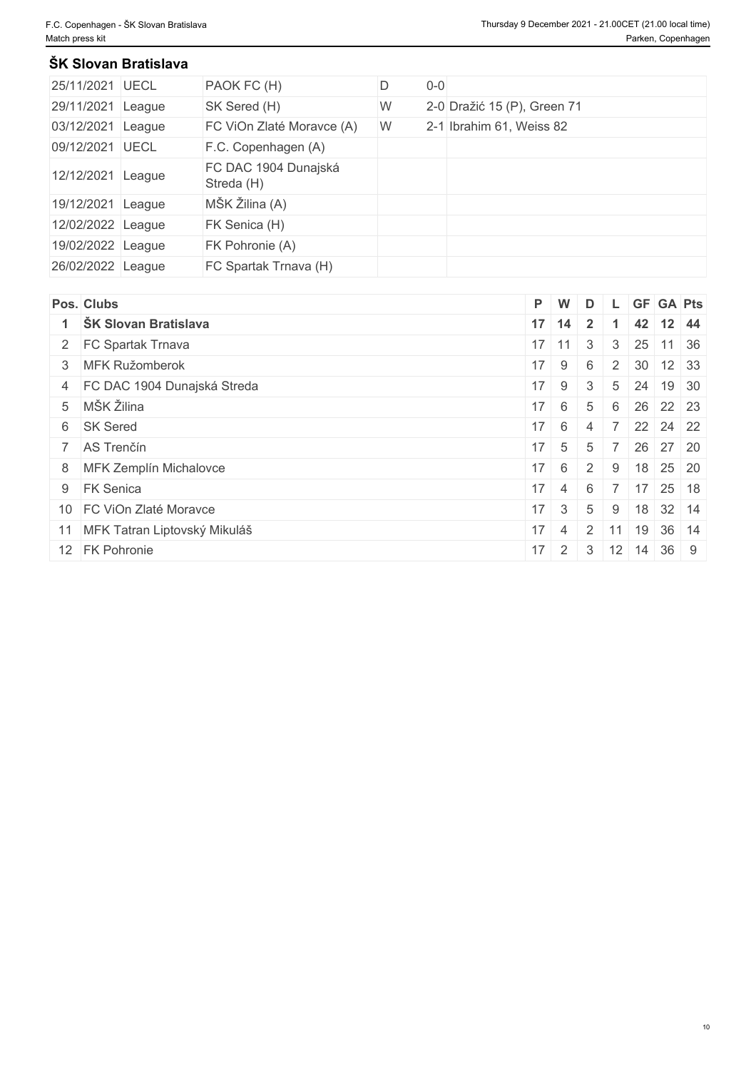#### **ŠK Slovan Bratislava**

| 25/11/2021 UECL   |        | PAOK FC (H)                        | D | $0-0$ |                             |
|-------------------|--------|------------------------------------|---|-------|-----------------------------|
| 29/11/2021 League |        | SK Sered (H)                       | W |       | 2-0 Dražić 15 (P), Green 71 |
| 03/12/2021 League |        | FC ViOn Zlaté Moravce (A)          | W |       | 2-1 Ibrahim 61, Weiss 82    |
| 09/12/2021 UECL   |        | F.C. Copenhagen (A)                |   |       |                             |
| 12/12/2021        | League | FC DAC 1904 Dunajská<br>Streda (H) |   |       |                             |
| 19/12/2021 League |        | MŠK Žilina (A)                     |   |       |                             |
| 12/02/2022 League |        | FK Senica (H)                      |   |       |                             |
| 19/02/2022 League |        | FK Pohronie (A)                    |   |       |                             |
| 26/02/2022 League |        | FC Spartak Trnava (H)              |   |       |                             |

| Pos. Clubs                      |              | P W                     |                         |               | D L GF GA Pts                   |  |
|---------------------------------|--------------|-------------------------|-------------------------|---------------|---------------------------------|--|
| ŠK Slovan Bratislava            |              | $17$ 14                 | $\overline{\mathbf{2}}$ |               | 42 12 44                        |  |
| 2 FC Spartak Trnava             |              | $17$ 11 3               |                         | $\mathcal{S}$ | $25$ 11 36                      |  |
| 3 MFK Ružomberok                | $17 \quad 9$ |                         | 6                       |               | 2 30 12 33                      |  |
| 4 FC DAC 1904 Dunajská Streda   |              | $17 \quad 9 \quad 3$    |                         |               | $5 \mid 24 \mid 19 \mid 30$     |  |
| 5 MŠK Žilina                    | $17 \quad 6$ |                         | 5                       |               | 6 26 22 23                      |  |
| 6 SK Sered                      |              | $17 \quad 6 \quad 4$    |                         |               | $7 \ 22 \ 24 \ 22$              |  |
| 7 AS Trenčín                    |              | $17 \quad 5$            | 5                       |               | 7 26 27 20                      |  |
| 8 MFK Zemplín Michalovce        | $17 \quad 6$ |                         | $\cdot$   2             | 9             | 18 25 20                        |  |
| 9 FK Senica                     |              | $17 \mid 4 \mid$        | - 6                     |               | 7 17 25 18                      |  |
| 10 FC ViOn Zlaté Moravce        |              | $17 \mid 3 \mid 5 \mid$ |                         |               | 9   18   32   14                |  |
| 11 MFK Tatran Liptovský Mikuláš | $17 \quad 4$ |                         |                         |               | $\vert$ 2 11 19 36 14           |  |
| 12 FK Pohronie                  |              |                         |                         |               | $17$   2   3   12   14   36   9 |  |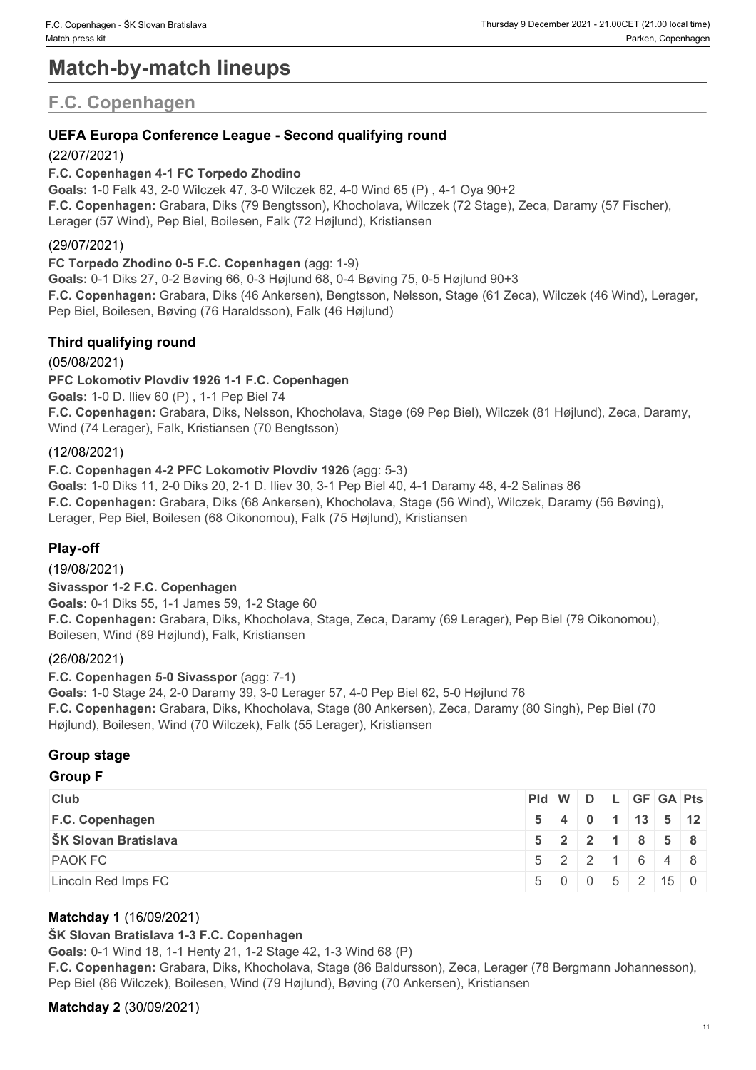# **Match-by-match lineups**

# **F.C. Copenhagen**

# **UEFA Europa Conference League - Second qualifying round**

### (22/07/2021)

#### **F.C. Copenhagen 4-1 FC Torpedo Zhodino**

**Goals:** 1-0 Falk 43, 2-0 Wilczek 47, 3-0 Wilczek 62, 4-0 Wind 65 (P) , 4-1 Oya 90+2 **F.C. Copenhagen:** Grabara, Diks (79 Bengtsson), Khocholava, Wilczek (72 Stage), Zeca, Daramy (57 Fischer), Lerager (57 Wind), Pep Biel, Boilesen, Falk (72 Højlund), Kristiansen

### (29/07/2021)

**FC Torpedo Zhodino 0-5 F.C. Copenhagen** (agg: 1-9) **Goals:** 0-1 Diks 27, 0-2 Bøving 66, 0-3 Højlund 68, 0-4 Bøving 75, 0-5 Højlund 90+3 **F.C. Copenhagen:** Grabara, Diks (46 Ankersen), Bengtsson, Nelsson, Stage (61 Zeca), Wilczek (46 Wind), Lerager, Pep Biel, Boilesen, Bøving (76 Haraldsson), Falk (46 Højlund)

## **Third qualifying round**

(05/08/2021)

#### **PFC Lokomotiv Plovdiv 1926 1-1 F.C. Copenhagen**

**Goals:** 1-0 D. Iliev 60 (P) , 1-1 Pep Biel 74

**F.C. Copenhagen:** Grabara, Diks, Nelsson, Khocholava, Stage (69 Pep Biel), Wilczek (81 Højlund), Zeca, Daramy, Wind (74 Lerager), Falk, Kristiansen (70 Bengtsson)

#### (12/08/2021)

### **F.C. Copenhagen 4-2 PFC Lokomotiv Plovdiv 1926** (agg: 5-3)

**Goals:** 1-0 Diks 11, 2-0 Diks 20, 2-1 D. Iliev 30, 3-1 Pep Biel 40, 4-1 Daramy 48, 4-2 Salinas 86 **F.C. Copenhagen:** Grabara, Diks (68 Ankersen), Khocholava, Stage (56 Wind), Wilczek, Daramy (56 Bøving), Lerager, Pep Biel, Boilesen (68 Oikonomou), Falk (75 Højlund), Kristiansen

## **Play-off**

(19/08/2021)

## **Sivasspor 1-2 F.C. Copenhagen**

**Goals:** 0-1 Diks 55, 1-1 James 59, 1-2 Stage 60 **F.C. Copenhagen:** Grabara, Diks, Khocholava, Stage, Zeca, Daramy (69 Lerager), Pep Biel (79 Oikonomou), Boilesen, Wind (89 Højlund), Falk, Kristiansen

#### (26/08/2021)

#### **F.C. Copenhagen 5-0 Sivasspor** (agg: 7-1)

**Goals:** 1-0 Stage 24, 2-0 Daramy 39, 3-0 Lerager 57, 4-0 Pep Biel 62, 5-0 Højlund 76 **F.C. Copenhagen:** Grabara, Diks, Khocholava, Stage (80 Ankersen), Zeca, Daramy (80 Singh), Pep Biel (70 Højlund), Boilesen, Wind (70 Wilczek), Falk (55 Lerager), Kristiansen

## **Group stage**

# **Group F**

| <b>Club</b>          |  |  |  | $PId \mid W \mid D \mid L \mid GF \mid GA \mid Pts \mid$ |
|----------------------|--|--|--|----------------------------------------------------------|
| F.C. Copenhagen      |  |  |  | $5 \mid 4 \mid 0 \mid 1 \mid 13 \mid 5 \mid 12 \mid$     |
| ŠK Slovan Bratislava |  |  |  | $5$ 2 2 1 8 5 8                                          |
| <b>PAOK FC</b>       |  |  |  | $5$   2   2   1   6   4   8                              |
| Lincoln Red Imps FC  |  |  |  | $5 \mid 0 \mid 0 \mid 5 \mid 2 \mid 15 \mid 0$           |

#### **Matchday 1** (16/09/2021)

#### **ŠK Slovan Bratislava 1-3 F.C. Copenhagen**

**Goals:** 0-1 Wind 18, 1-1 Henty 21, 1-2 Stage 42, 1-3 Wind 68 (P)

**F.C. Copenhagen:** Grabara, Diks, Khocholava, Stage (86 Baldursson), Zeca, Lerager (78 Bergmann Johannesson), Pep Biel (86 Wilczek), Boilesen, Wind (79 Højlund), Bøving (70 Ankersen), Kristiansen

#### **Matchday 2** (30/09/2021)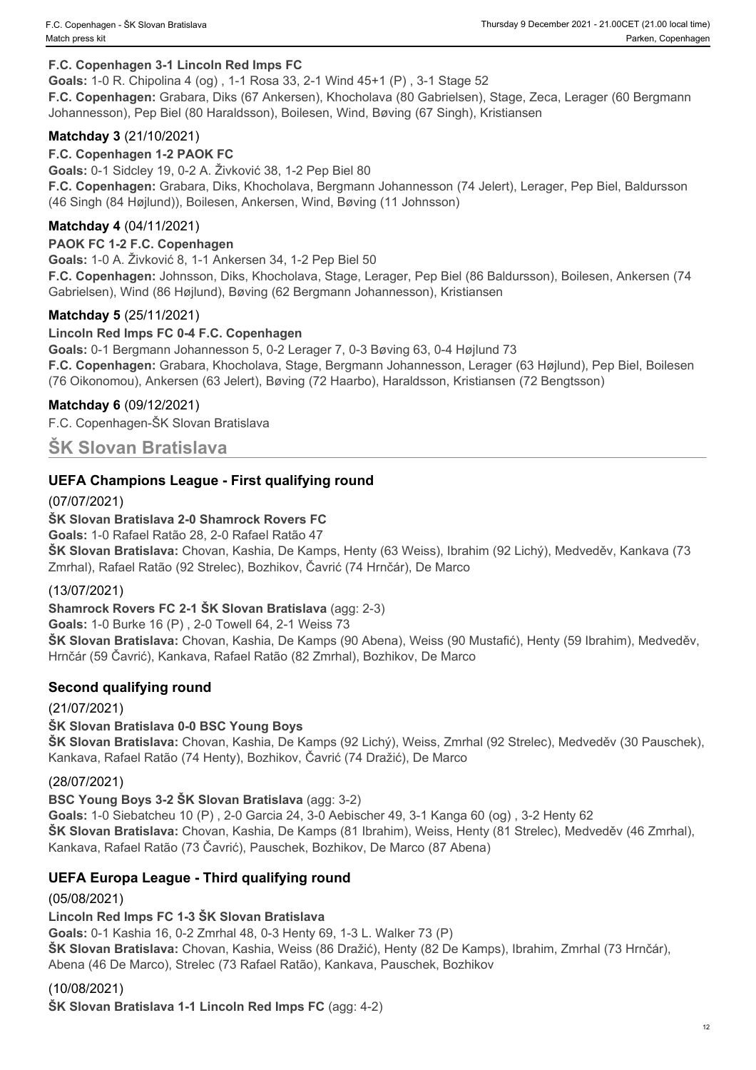#### **F.C. Copenhagen 3-1 Lincoln Red Imps FC**

**Goals:** 1-0 R. Chipolina 4 (og) , 1-1 Rosa 33, 2-1 Wind 45+1 (P) , 3-1 Stage 52

**F.C. Copenhagen:** Grabara, Diks (67 Ankersen), Khocholava (80 Gabrielsen), Stage, Zeca, Lerager (60 Bergmann Johannesson), Pep Biel (80 Haraldsson), Boilesen, Wind, Bøving (67 Singh), Kristiansen

#### **Matchday 3** (21/10/2021)

#### **F.C. Copenhagen 1-2 PAOK FC**

**Goals:** 0-1 Sidcley 19, 0-2 A. Živković 38, 1-2 Pep Biel 80 **F.C. Copenhagen:** Grabara, Diks, Khocholava, Bergmann Johannesson (74 Jelert), Lerager, Pep Biel, Baldursson (46 Singh (84 Højlund)), Boilesen, Ankersen, Wind, Bøving (11 Johnsson)

### **Matchday 4** (04/11/2021)

#### **PAOK FC 1-2 F.C. Copenhagen**

**Goals:** 1-0 A. Živković 8, 1-1 Ankersen 34, 1-2 Pep Biel 50

**F.C. Copenhagen:** Johnsson, Diks, Khocholava, Stage, Lerager, Pep Biel (86 Baldursson), Boilesen, Ankersen (74 Gabrielsen), Wind (86 Højlund), Bøving (62 Bergmann Johannesson), Kristiansen

#### **Matchday 5** (25/11/2021)

#### **Lincoln Red Imps FC 0-4 F.C. Copenhagen**

**Goals:** 0-1 Bergmann Johannesson 5, 0-2 Lerager 7, 0-3 Bøving 63, 0-4 Højlund 73 **F.C. Copenhagen:** Grabara, Khocholava, Stage, Bergmann Johannesson, Lerager (63 Højlund), Pep Biel, Boilesen (76 Oikonomou), Ankersen (63 Jelert), Bøving (72 Haarbo), Haraldsson, Kristiansen (72 Bengtsson)

#### **Matchday 6** (09/12/2021)

F.C. Copenhagen-ŠK Slovan Bratislava

### **ŠK Slovan Bratislava**

#### **UEFA Champions League - First qualifying round**

#### (07/07/2021)

#### **ŠK Slovan Bratislava 2-0 Shamrock Rovers FC**

**Goals:** 1-0 Rafael Ratão 28, 2-0 Rafael Ratão 47

**ŠK Slovan Bratislava:** Chovan, Kashia, De Kamps, Henty (63 Weiss), Ibrahim (92 Lichý), Medveděv, Kankava (73 Zmrhal), Rafael Ratão (92 Strelec), Bozhikov, Čavrić (74 Hrnčár), De Marco

#### (13/07/2021)

**Shamrock Rovers FC 2-1 ŠK Slovan Bratislava** (agg: 2-3)

**Goals:** 1-0 Burke 16 (P) , 2-0 Towell 64, 2-1 Weiss 73

**ŠK Slovan Bratislava:** Chovan, Kashia, De Kamps (90 Abena), Weiss (90 Mustafić), Henty (59 Ibrahim), Medveděv, Hrnčár (59 Čavrić), Kankava, Rafael Ratão (82 Zmrhal), Bozhikov, De Marco

#### **Second qualifying round**

(21/07/2021)

#### **ŠK Slovan Bratislava 0-0 BSC Young Boys**

**ŠK Slovan Bratislava:** Chovan, Kashia, De Kamps (92 Lichý), Weiss, Zmrhal (92 Strelec), Medveděv (30 Pauschek), Kankava, Rafael Ratão (74 Henty), Bozhikov, Čavrić (74 Dražić), De Marco

#### (28/07/2021)

#### **BSC Young Boys 3-2 ŠK Slovan Bratislava** (agg: 3-2)

**Goals:** 1-0 Siebatcheu 10 (P) , 2-0 Garcia 24, 3-0 Aebischer 49, 3-1 Kanga 60 (og) , 3-2 Henty 62 **ŠK Slovan Bratislava:** Chovan, Kashia, De Kamps (81 Ibrahim), Weiss, Henty (81 Strelec), Medveděv (46 Zmrhal), Kankava, Rafael Ratão (73 Čavrić), Pauschek, Bozhikov, De Marco (87 Abena)

#### **UEFA Europa League - Third qualifying round**

(05/08/2021)

**Lincoln Red Imps FC 1-3 ŠK Slovan Bratislava**

**Goals:** 0-1 Kashia 16, 0-2 Zmrhal 48, 0-3 Henty 69, 1-3 L. Walker 73 (P)

**ŠK Slovan Bratislava:** Chovan, Kashia, Weiss (86 Dražić), Henty (82 De Kamps), Ibrahim, Zmrhal (73 Hrnčár), Abena (46 De Marco), Strelec (73 Rafael Ratão), Kankava, Pauschek, Bozhikov

#### (10/08/2021)

**ŠK Slovan Bratislava 1-1 Lincoln Red Imps FC** (agg: 4-2)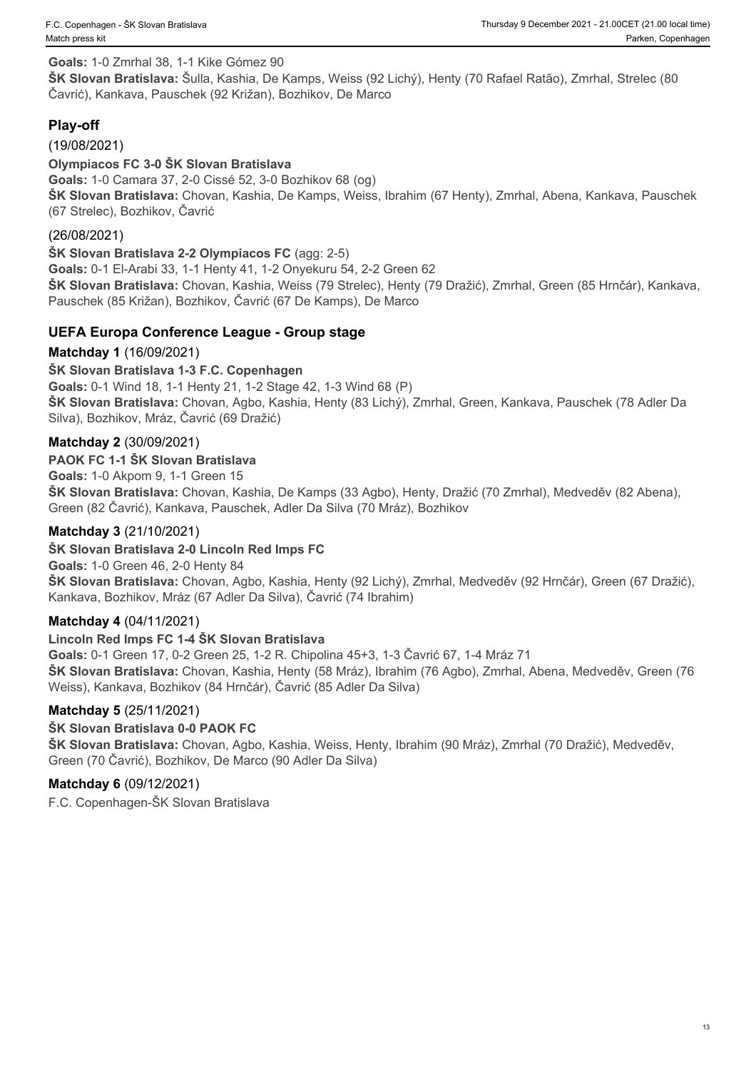#### **Goals:** 1-0 Zmrhal 38, 1-1 Kike Gómez 90

**ŠK Slovan Bratislava:** Šulla, Kashia, De Kamps, Weiss (92 Lichý), Henty (70 Rafael Ratão), Zmrhal, Strelec (80 Čavrić), Kankava, Pauschek (92 Križan), Bozhikov, De Marco

### **Play-off**

(19/08/2021)

**Olympiacos FC 3-0 ŠK Slovan Bratislava**

**Goals:** 1-0 Camara 37, 2-0 Cissé 52, 3-0 Bozhikov 68 (og) **ŠK Slovan Bratislava:** Chovan, Kashia, De Kamps, Weiss, Ibrahim (67 Henty), Zmrhal, Abena, Kankava, Pauschek (67 Strelec), Bozhikov, Čavrić

#### (26/08/2021)

**ŠK Slovan Bratislava 2-2 Olympiacos FC** (agg: 2-5) **Goals:** 0-1 El-Arabi 33, 1-1 Henty 41, 1-2 Onyekuru 54, 2-2 Green 62 **ŠK Slovan Bratislava:** Chovan, Kashia, Weiss (79 Strelec), Henty (79 Dražić), Zmrhal, Green (85 Hrnčár), Kankava, Pauschek (85 Križan), Bozhikov, Čavrić (67 De Kamps), De Marco

#### **UEFA Europa Conference League - Group stage**

#### **Matchday 1** (16/09/2021)

#### **ŠK Slovan Bratislava 1-3 F.C. Copenhagen**

**Goals:** 0-1 Wind 18, 1-1 Henty 21, 1-2 Stage 42, 1-3 Wind 68 (P) **ŠK Slovan Bratislava:** Chovan, Agbo, Kashia, Henty (83 Lichý), Zmrhal, Green, Kankava, Pauschek (78 Adler Da Silva), Bozhikov, Mráz, Čavrić (69 Dražić)

#### **Matchday 2** (30/09/2021)

#### **PAOK FC 1-1 ŠK Slovan Bratislava**

**Goals:** 1-0 Akpom 9, 1-1 Green 15 **ŠK Slovan Bratislava:** Chovan, Kashia, De Kamps (33 Agbo), Henty, Dražić (70 Zmrhal), Medveděv (82 Abena), Green (82 Čavrić), Kankava, Pauschek, Adler Da Silva (70 Mráz), Bozhikov

#### **Matchday 3** (21/10/2021)

#### **ŠK Slovan Bratislava 2-0 Lincoln Red Imps FC**

**Goals:** 1-0 Green 46, 2-0 Henty 84 **ŠK Slovan Bratislava:** Chovan, Agbo, Kashia, Henty (92 Lichý), Zmrhal, Medveděv (92 Hrnčár), Green (67 Dražić), Kankava, Bozhikov, Mráz (67 Adler Da Silva), Čavrić (74 Ibrahim)

#### **Matchday 4** (04/11/2021)

#### **Lincoln Red Imps FC 1-4 ŠK Slovan Bratislava**

**Goals:** 0-1 Green 17, 0-2 Green 25, 1-2 R. Chipolina 45+3, 1-3 Čavrić 67, 1-4 Mráz 71 **ŠK Slovan Bratislava:** Chovan, Kashia, Henty (58 Mráz), Ibrahim (76 Agbo), Zmrhal, Abena, Medveděv, Green (76 Weiss), Kankava, Bozhikov (84 Hrnčár), Čavrić (85 Adler Da Silva)

#### **Matchday 5** (25/11/2021)

#### **ŠK Slovan Bratislava 0-0 PAOK FC**

**ŠK Slovan Bratislava:** Chovan, Agbo, Kashia, Weiss, Henty, Ibrahim (90 Mráz), Zmrhal (70 Dražić), Medveděv, Green (70 Čavrić), Bozhikov, De Marco (90 Adler Da Silva)

#### **Matchday 6** (09/12/2021)

F.C. Copenhagen-ŠK Slovan Bratislava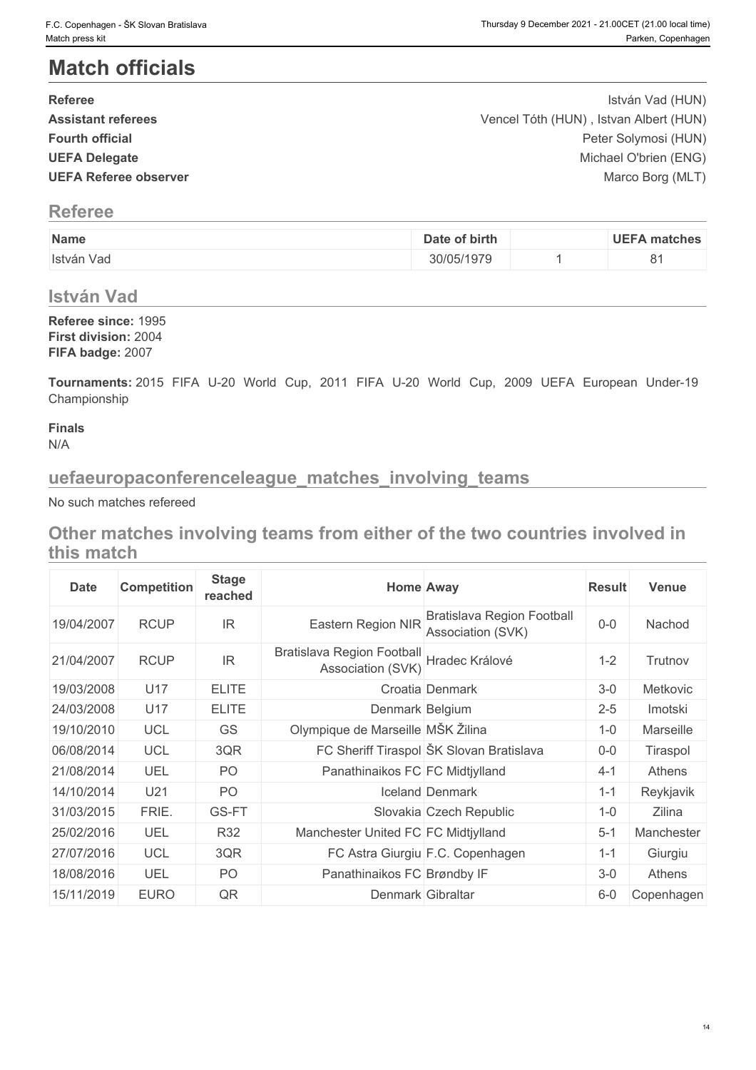# **Match officials**

| F.C. Copenhagen - ŠK Slovan Bratislava<br>Match press kit                                                    |               |    | Thursday 9 December 2021 - 21.00CET (21.00 local time)<br>Parken, Copenhagen |
|--------------------------------------------------------------------------------------------------------------|---------------|----|------------------------------------------------------------------------------|
| <b>Match officials</b>                                                                                       |               |    |                                                                              |
|                                                                                                              |               |    |                                                                              |
| <b>Referee</b>                                                                                               |               |    | István Vad (HUN)                                                             |
| <b>Assistant referees</b><br><b>Fourth official</b>                                                          |               |    | Vencel Tóth (HUN), Istvan Albert (HUN)<br>Peter Solymosi (HUN)               |
| <b>UEFA Delegate</b>                                                                                         |               |    | Michael O'brien (ENG)                                                        |
| <b>UEFA Referee observer</b>                                                                                 |               |    | Marco Borg (MLT)                                                             |
| <b>Referee</b>                                                                                               |               |    |                                                                              |
| Name                                                                                                         | Date of birth |    | <b>UEFA</b> matches                                                          |
| István Vad                                                                                                   | 30/05/1979    | -1 | 81                                                                           |
| <b>István Vad</b>                                                                                            |               |    |                                                                              |
| Referee since: 1995<br>First division: 2004<br>FIFA badge: 2007                                              |               |    |                                                                              |
| Tournaments: 2015 FIFA U-20 World Cup, 2011 FIFA U-20 World Cup, 2009 UEFA European Under-19<br>Championship |               |    |                                                                              |
| <b>Finals</b><br>N/A                                                                                         |               |    |                                                                              |
| uefaeuropaconferenceleague_matches_involving_teams                                                           |               |    |                                                                              |
| No such matches refereed                                                                                     |               |    |                                                                              |
| Other matches involving teams from sither of the two countries involved in                                   |               |    |                                                                              |

# **Referee**

| Name       | birth<br>Jd            | HEE<br>matches |
|------------|------------------------|----------------|
| István Vao | 107 <sub>0</sub><br>71 |                |

# **István Vad**

# **uefaeuropaconferenceleague\_matches\_involving\_teams**

**Other matches involving teams from either of the two countries involved in this match**

| <b>Date</b> | <b>Competition</b> | <b>Stage</b><br>reached |                                                        | <b>Home Away</b>                                       | <b>Result</b> | <b>Venue</b> |
|-------------|--------------------|-------------------------|--------------------------------------------------------|--------------------------------------------------------|---------------|--------------|
| 19/04/2007  | <b>RCUP</b>        | <b>IR</b>               | Eastern Region NIR                                     | <b>Bratislava Region Football</b><br>Association (SVK) | $0 - 0$       | Nachod       |
| 21/04/2007  | <b>RCUP</b>        | IR                      | <b>Bratislava Region Football</b><br>Association (SVK) | Hradec Králové                                         | $1 - 2$       | Trutnov      |
| 19/03/2008  | U17                | <b>ELITE</b>            |                                                        | Croatia Denmark                                        | $3-0$         | Metkovic     |
| 24/03/2008  | U17                | <b>ELITE</b>            | Denmark Belgium                                        |                                                        | $2 - 5$       | Imotski      |
| 19/10/2010  | <b>UCL</b>         | GS                      | Olympique de Marseille MŠK Žilina                      |                                                        | $1 - 0$       | Marseille    |
| 06/08/2014  | <b>UCL</b>         | 3QR                     |                                                        | FC Sheriff Tiraspol ŠK Slovan Bratislava               | $0-0$         | Tiraspol     |
| 21/08/2014  | <b>UEL</b>         | PO                      | Panathinaikos FC FC Midtjylland                        |                                                        | $4 - 1$       | Athens       |
| 14/10/2014  | U21                | PO                      |                                                        | Iceland Denmark                                        | $1 - 1$       | Reykjavik    |
| 31/03/2015  | FRIE.              | GS-FT                   |                                                        | Slovakia Czech Republic                                | $1 - 0$       | Zilina       |
| 25/02/2016  | UEL                | R32                     | Manchester United FC FC Midtiylland                    |                                                        | $5 - 1$       | Manchester   |
| 27/07/2016  | <b>UCL</b>         | 3QR                     |                                                        | FC Astra Giurgiu F.C. Copenhagen                       | $1 - 1$       | Giurgiu      |
| 18/08/2016  | <b>UEL</b>         | PO                      | Panathinaikos FC Brøndby IF                            |                                                        | $3-0$         | Athens       |
| 15/11/2019  | <b>EURO</b>        | QR                      | Denmark Gibraltar                                      |                                                        | $6-0$         | Copenhagen   |